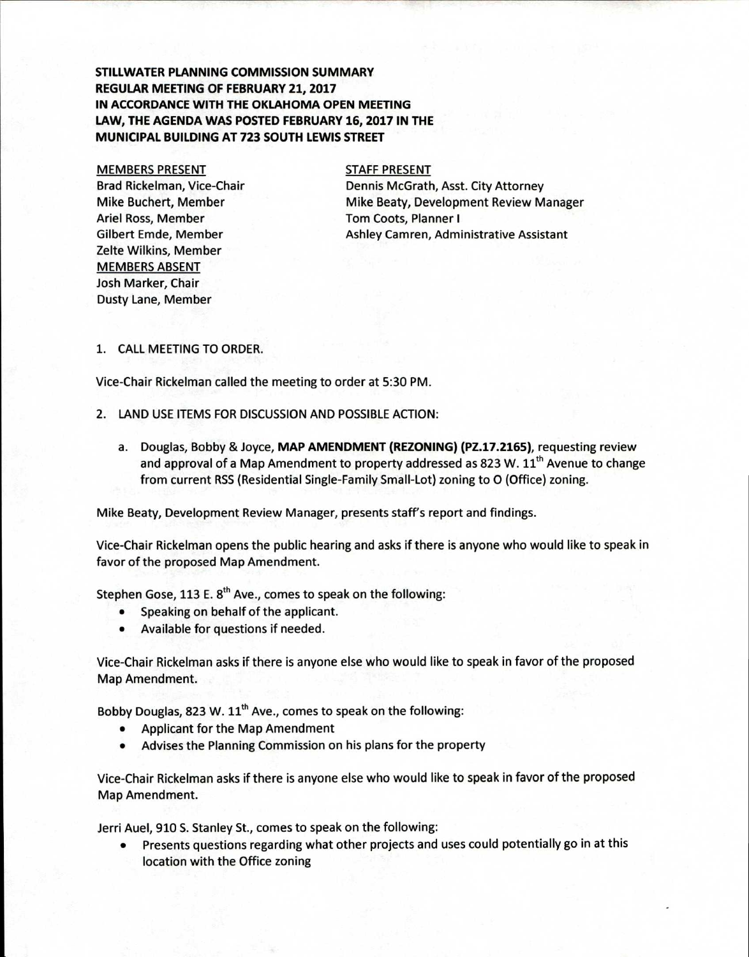# **STILLWATER PLANNING COMMISSION SUMMARY REGULAR MEETING OF FEBRUARY 21, 2017 IN ACCORDANCE WITH THE OKLAHOMA OPEN MEETING LAW, THE AGENDA WAS POSTED FEBRUARY 16, 2017 IN THE MUNICIPAL BUILDING AT 723 SOUTH LEWIS STREET**

#### MEMBERS PRESENT

Brad Rickelman, Vice-Chair Mike Buchert, Member Ariel Ross, Member Gilbert Emde, Member Zelte Wilkins, Member MEMBERS ABSENT Josh Marker, Chair Dusty Lane, Member

#### STAFF PRESENT

Dennis McGrath, Asst. City Attorney Mike Beaty, Development Review Manager Tom Coots, Planner I Ashley Camren, Administrative Assistant

## 1. CALL MEETING TO ORDER.

Vice-Chair Rickelman called the meeting to order at 5:30 PM.

- 2. LAND USE ITEMS FOR DISCUSSION AND POSSIBLE ACTION:
	- a. Douglas, Bobby & Joyce, **MAP AMENDMENT (REZONING) (PZ.17.2165),** requesting review and approval of a Map Amendment to property addressed as 823 W.  $11<sup>th</sup>$  Avenue to change from current RSS (Residential Single-Family Small-Lot) zoning to 0 (Office) zoning.

Mike Beaty, Development Review Manager, presents staff's report and findings.

Vice-Chair Rickelman opens the public hearing and asks if there is anyone who would like to speak in favor of the proposed Map Amendment.

Stephen Gose, 113 E.  $8<sup>th</sup>$  Ave., comes to speak on the following:

- Speaking on behalf of the applicant.
- Available for questions if needed.

Vice-Chair Rickelman asks if there is anyone else who would like to speak in favor of the proposed Map Amendment.

Bobby Douglas, 823 W.  $11<sup>th</sup>$  Ave., comes to speak on the following:

- Applicant for the Map Amendment
- Advises the Planning Commission on his plans for the property

Vice-Chair Rickelman asks if there is anyone else who would like to speak in favor of the proposed Map Amendment.

Jerri Auel, 910 S. Stanley St., comes to speak on the following:

• Presents questions regarding what other projects and uses could potentially go in at this location with the Office zoning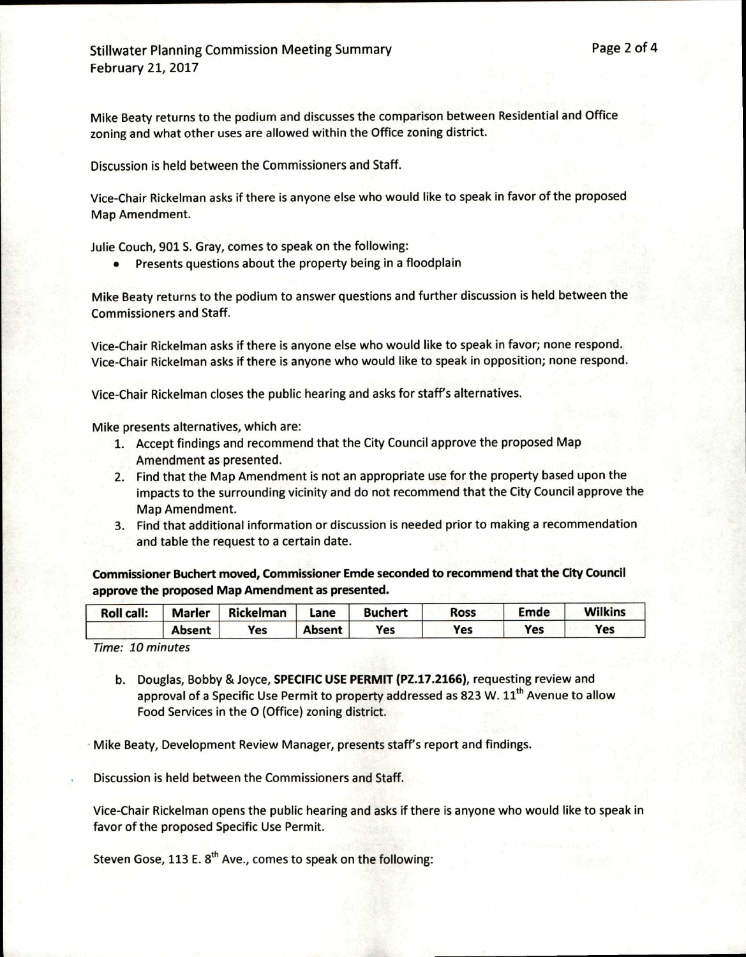Mike Beaty returns to the podium and discusses the comparison between Residential and Office zoning and what other uses are allowed within the Office zoning district.

Discussion is held between the Commissioners and Staff.

Vice-Chair Rickelman asks if there is anyone else who would like to speak in favor of the proposed Map Amendment.

Julie Couch, 901 S. Gray, comes to speak on the following:

• Presents questions about the property being in a floodplain

Mike Beaty returns to the podium to answer questions and further discussion is held between the Commissioners and Staff.

Vice-Chair Rickelman asks if there is anyone else who would like to speak in favor; none respond. Vice-Chair Rickelman asks if there is anyone who would like to speak in opposition; none respond.

Vice-Chair Rickelman closes the public hearing and asks for staff's alternatives.

Mike presents alternatives, which are:

- 1. Accept findings and recommend that the City Council approve the proposed Map Amendment as presented.
- 2. Find that the Map Amendment is not an appropriate use for the property based upon the impacts to the surrounding vicinity and do not recommend that the City Council approve the Map Amendment.
- 3. Find that additional information or discussion is needed prior to making a recommendation and table the request to a certain date.

**Commissioner Buchert moved, Commissioner Emde seconded to recommend that the City Council approve the proposed Map Amendment as presented.** 

| <b>Roll call:</b> | <b>Marler</b> | <b>Rickelman</b> | Lane          | <b>Buchert</b> | <b>Ross</b> | <b>Emde</b> | <b>Wilkins</b> |
|-------------------|---------------|------------------|---------------|----------------|-------------|-------------|----------------|
|                   | <b>Absent</b> | Yes              | <b>Absent</b> | Yes            | Yes         | Yes         | Yes            |

Time: 10 minutes

b. Douglas, Bobby & Joyce, **SPECIFIC USE PERMIT (PZ.17.2166),** requesting review and approval of a Specific Use Permit to property addressed as 823 W. 11<sup>th</sup> Avenue to allow Food Services in the 0 (Office) zoning district.

Mike Beaty, Development Review Manager, presents staff's report and findings.

Discussion is held between the Commissioners and Staff.

Vice-Chair Rickelman opens the public hearing and asks if there is anyone who would like to speak in favor of the proposed Specific Use Permit.

Steven Gose, 113 E.  $8<sup>th</sup>$  Ave., comes to speak on the following: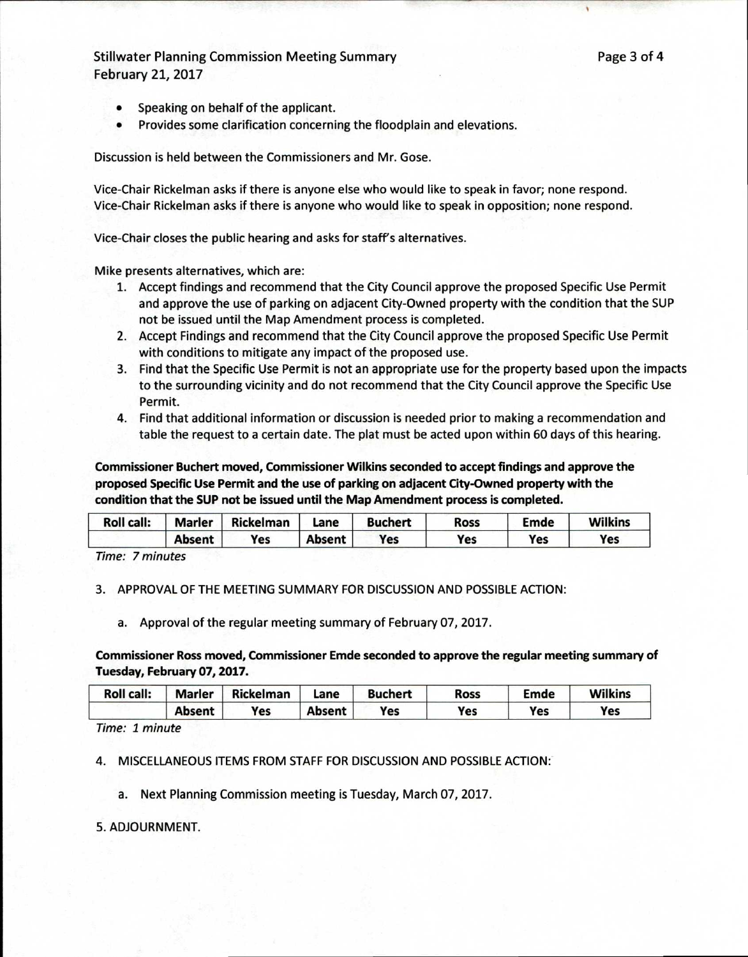Stillwater Planning Commission Meeting Summary **Page 3 of 4** Page 3 of 4 February 21, 2017

- Speaking on behalf of the applicant.
- Provides some clarification concerning the floodplain and elevations.

Discussion is held between the Commissioners and Mr. Gose.

Vice-Chair Rickelman asks if there is anyone else who would like to speak in favor; none respond. Vice-Chair Rickelman asks if there is anyone who would like to speak in opposition; none respond.

Vice-Chair closes the public hearing and asks for staff's alternatives.

Mike presents alternatives, which are:

- 1. Accept findings and recommend that the City Council approve the proposed Specific Use Permit and approve the use of parking on adjacent City-Owned property with the condition that the SUP not be issued until the Map Amendment process is completed.
- 2. Accept Findings and recommend that the City Council approve the proposed Specific Use Permit with conditions to mitigate any impact of the proposed use.
- 3. Find that the Specific Use Permit is not an appropriate use for the property based upon the impacts to the surrounding vicinity and do not recommend that the City Council approve the Specific Use Permit.
- 4. Find that additional information or discussion is needed prior to making a recommendation and table the request to a certain date. The plat must be acted upon within 60 days of this hearing.

**Commissioner Buchert moved, Commissioner Wilkins seconded to accept findings and approve the proposed Specific Use Permit and the use of parking on adjacent City-Owned property with the condition that the SUP not be issued until the Map Amendment process is completed.** 

| <b>Roll call:</b> | <b>Marler</b> | <b>Rickelman</b> | Lane          | <b>Buchert</b> | Ross | Emde | <b>Wilkins</b> |
|-------------------|---------------|------------------|---------------|----------------|------|------|----------------|
|                   | <b>Absent</b> | Yes              | <b>Absent</b> | Yes            | Yes  | Yes  | Yes            |

Time: 7 minutes

3. APPROVAL OF THE MEETING SUMMARY FOR DISCUSSION AND POSSIBLE ACTION:

a. Approval of the regular meeting summary of February 07, 2017.

**Commissioner Ross moved, Commissioner Emde seconded to approve the regular meeting summary of Tuesday, February 07, 2017.** 

| <b>Roll call:</b> | <b>Marler</b> | Rickelman | Lane          | <b>Buchert</b> | Ross | Emde | <b>Wilkins</b> |
|-------------------|---------------|-----------|---------------|----------------|------|------|----------------|
|                   | <b>Absent</b> | Yes       | <b>Absent</b> | Yes            | Yes  | Yes  | Yes            |

Time: 1 minute

4. MISCELLANEOUS ITEMS FROM STAFF FOR DISCUSSION AND POSSIBLE ACTION:

a. Next Planning Commission meeting is Tuesday, March 07, 2017.

### 5. ADJOURNMENT.